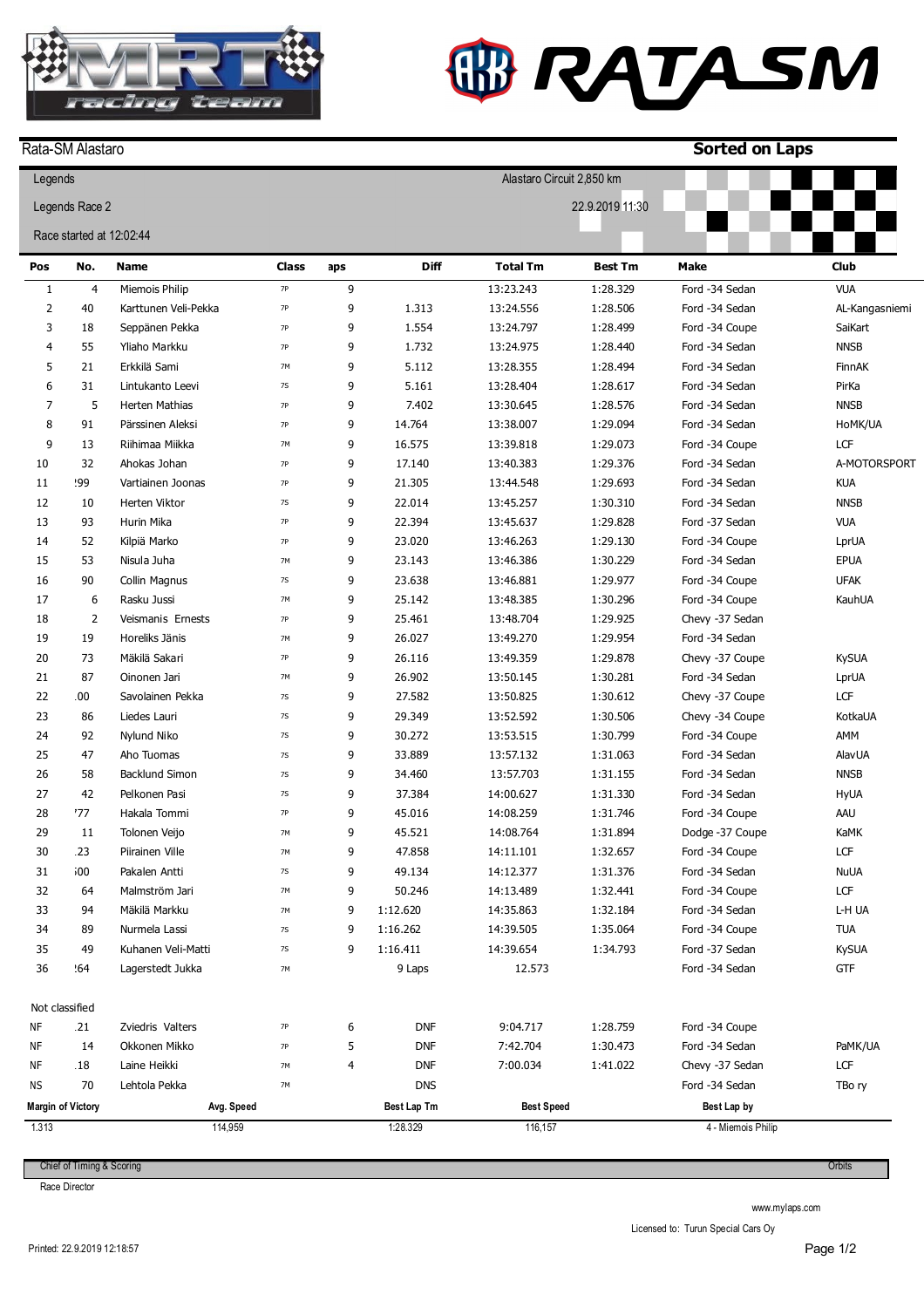

## **W RATASM**

|                | Rata-SM Alastaro         |                                     |              |     |                  |                           |                 | <b>Sorted on Laps</b> |                |  |
|----------------|--------------------------|-------------------------------------|--------------|-----|------------------|---------------------------|-----------------|-----------------------|----------------|--|
| Legends        |                          |                                     |              |     |                  | Alastaro Circuit 2,850 km |                 |                       |                |  |
| Legends Race 2 |                          |                                     |              |     |                  |                           | 22.9.2019 11:30 |                       |                |  |
|                | Race started at 12:02:44 |                                     |              |     |                  |                           |                 |                       |                |  |
| Pos            | No.                      | <b>Name</b>                         | <b>Class</b> | aps | <b>Diff</b>      | <b>Total Tm</b>           | <b>Best Tm</b>  | <b>Make</b>           | <b>Club</b>    |  |
| $1\,$          | $\overline{4}$           | Miemois Philip                      | $7P$         | 9   |                  | 13:23.243                 | 1:28.329        | Ford -34 Sedan        | <b>VUA</b>     |  |
| $\overline{2}$ | 40                       | Karttunen Veli-Pekka                | 7P           | 9   | 1.313            | 13:24.556                 | 1:28.506        | Ford -34 Sedan        | AL-Kangasniemi |  |
| 3              | 18                       | Seppänen Pekka                      | <b>7P</b>    | 9   | 1.554            | 13:24.797                 | 1:28.499        | Ford -34 Coupe        | SaiKart        |  |
| 4              | 55                       | Yliaho Markku                       | 7P           | 9   | 1.732            | 13:24.975                 | 1:28.440        | Ford -34 Sedan        | <b>NNSB</b>    |  |
| 5              | 21                       | Erkkilä Sami                        | 7M           | 9   | 5.112            | 13:28.355                 | 1:28.494        | Ford -34 Sedan        | FinnAK         |  |
| 6              | 31                       | Lintukanto Leevi                    | 7S           | 9   | 5.161            | 13:28.404                 | 1:28.617        | Ford -34 Sedan        | PirKa          |  |
| 7              | 5                        | Herten Mathias                      | <b>7P</b>    | 9   | 7.402            | 13:30.645                 | 1:28.576        | Ford -34 Sedan        | <b>NNSB</b>    |  |
| 8              | 91                       | Pärssinen Aleksi                    | <b>7P</b>    | 9   | 14.764           | 13:38.007                 | 1:29.094        | Ford -34 Sedan        | HoMK/UA        |  |
| 9              | 13                       | Riihimaa Miikka                     | 7M           | 9   | 16.575           | 13:39.818                 | 1:29.073        | Ford -34 Coupe        | LCF            |  |
| 10             | 32                       | Ahokas Johan                        | 7P           | 9   | 17.140           | 13:40.383                 | 1:29.376        | Ford -34 Sedan        | A-MOTORSPORT   |  |
| 11             | 99؛                      | Vartiainen Joonas                   | <b>7P</b>    | 9   | 21.305           | 13:44.548                 | 1:29.693        | Ford -34 Sedan        | <b>KUA</b>     |  |
| 12             | 10                       | Herten Viktor                       | 7S           | 9   | 22.014           | 13:45.257                 | 1:30.310        | Ford -34 Sedan        | <b>NNSB</b>    |  |
| 13             | 93                       | Hurin Mika                          | <b>7P</b>    | 9   | 22.394           | 13:45.637                 | 1:29.828        | Ford -37 Sedan        | <b>VUA</b>     |  |
| 14             | 52                       | Kilpiä Marko                        | <b>7P</b>    | 9   | 23.020           | 13:46.263                 | 1:29.130        | Ford -34 Coupe        | LprUA          |  |
| 15             | 53                       | Nisula Juha                         | 7M           | 9   | 23.143           | 13:46.386                 | 1:30.229        | Ford -34 Sedan        | EPUA           |  |
| 16             | 90                       | Collin Magnus                       | 7S           | 9   | 23.638           | 13:46.881                 | 1:29.977        | Ford -34 Coupe        | <b>UFAK</b>    |  |
| 17             | 6                        | Rasku Jussi                         | 7M           | 9   | 25.142           | 13:48.385                 | 1:30.296        | Ford -34 Coupe        | KauhUA         |  |
| 18             | $\overline{2}$           | Veismanis Ernests                   | <b>7P</b>    | 9   | 25.461           | 13:48.704                 | 1:29.925        | Chevy -37 Sedan       |                |  |
| 19             | 19                       | Horeliks Jänis                      | 7M           | 9   | 26.027           | 13:49.270                 | 1:29.954        | Ford -34 Sedan        |                |  |
| 20             | 73                       | Mäkilä Sakari                       | <b>7P</b>    | 9   | 26.116           | 13:49.359                 | 1:29.878        | Chevy -37 Coupe       | <b>KySUA</b>   |  |
| 21             | 87                       | Oinonen Jari                        | 7M           | 9   | 26.902           | 13:50.145                 | 1:30.281        | Ford -34 Sedan        | LprUA          |  |
| 22             | 100                      | Savolainen Pekka                    | 7S           | 9   | 27.582           | 13:50.825                 | 1:30.612        | Chevy -37 Coupe       | LCF            |  |
|                |                          |                                     | <b>7S</b>    | 9   |                  |                           |                 |                       |                |  |
| 23<br>24       | 86<br>92                 | Liedes Lauri                        |              | 9   | 29.349           | 13:52.592                 | 1:30.506        | Chevy -34 Coupe       | KotkaUA<br>AMM |  |
| 25             | 47                       | Nylund Niko                         | 7S           | 9   | 30.272<br>33.889 | 13:53.515                 | 1:30.799        | Ford -34 Coupe        |                |  |
|                |                          | Aho Tuomas<br><b>Backlund Simon</b> | 7S           |     |                  | 13:57.132                 | 1:31.063        | Ford -34 Sedan        | <b>AlavUA</b>  |  |
| 26             | 58                       |                                     | 7S           | 9   | 34.460           | 13:57.703                 | 1:31.155        | Ford -34 Sedan        | <b>NNSB</b>    |  |
| 27             | 42                       | Pelkonen Pasi                       | 7S           | 9   | 37.384           | 14:00.627                 | 1:31.330        | Ford -34 Sedan        | HyUA           |  |
| 28             | 77                       | Hakala Tommi                        | 7P           | 9   | 45.016           | 14:08.259                 | 1:31.746        | Ford -34 Coupe        | AAU            |  |
| 29             | 11                       | Tolonen Veijo                       | 7M           | q   | 45.521           | 14:08.764                 | 1:31.894        | Dodge -37 Coupe       | KaMK           |  |
| 30             | .23                      | Piirainen Ville                     | 7M           | 9   | 47.858           | 14:11.101                 | 1:32.657        | Ford -34 Coupe        | LCF            |  |
| 31             | 00;                      | Pakalen Antti                       | 7S           | 9   | 49.134           | 14:12.377                 | 1:31.376        | Ford -34 Sedan        | <b>NuUA</b>    |  |
| 32             | 64                       | Malmström Jari                      | 7M           | 9   | 50.246           | 14:13.489                 | 1:32.441        | Ford -34 Coupe        | LCF            |  |
| 33             | 94                       | Mäkilä Markku                       | 7M           | 9   | 1:12.620         | 14:35.863                 | 1:32.184        | Ford -34 Sedan        | L-H UA         |  |
| 34             | 89                       | Nurmela Lassi                       | 7S           | 9   | 1:16.262         | 14:39.505                 | 1:35.064        | Ford -34 Coupe        | <b>TUA</b>     |  |
| 35             | 49                       | Kuhanen Veli-Matti                  | 7S           | 9   | 1:16.411         | 14:39.654                 | 1:34.793        | Ford -37 Sedan        | <b>KySUA</b>   |  |
| 36             | 164                      | Lagerstedt Jukka                    | 7M           |     | 9 Laps           | 12.573                    |                 | Ford -34 Sedan        | GTF            |  |
|                | Not classified           |                                     |              |     |                  |                           |                 |                       |                |  |
| ΝF             | .21                      | Zviedris Valters                    | 7P           | 6   | <b>DNF</b>       | 9:04.717                  | 1:28.759        | Ford -34 Coupe        |                |  |
| ΝF             | 14                       | Okkonen Mikko                       | 7P           | 5   | <b>DNF</b>       | 7:42.704                  | 1:30.473        | Ford -34 Sedan        | PaMK/UA        |  |
| ΝF             | l 18                     | Laine Heikki                        | 7M           | 4   | <b>DNF</b>       | 7:00.034                  | 1:41.022        | Chevy -37 Sedan       | LCF            |  |
| ΝS             | 70                       | Lehtola Pekka                       | 7M           |     | <b>DNS</b>       |                           |                 | Ford -34 Sedan        | TBo ry         |  |
|                | <b>Margin of Victory</b> | Avg. Speed                          |              |     | Best Lap Tm      | <b>Best Speed</b>         |                 | Best Lap by           |                |  |
| 1.313          |                          | 114,959                             |              |     | 1:28.329         | 116,157                   |                 | 4 - Miemois Philip    |                |  |

Chief of Timing & Scoring

Race Director

www.mylaps.com

Licensed to: Turun Special Cars Oy

**Orbits**